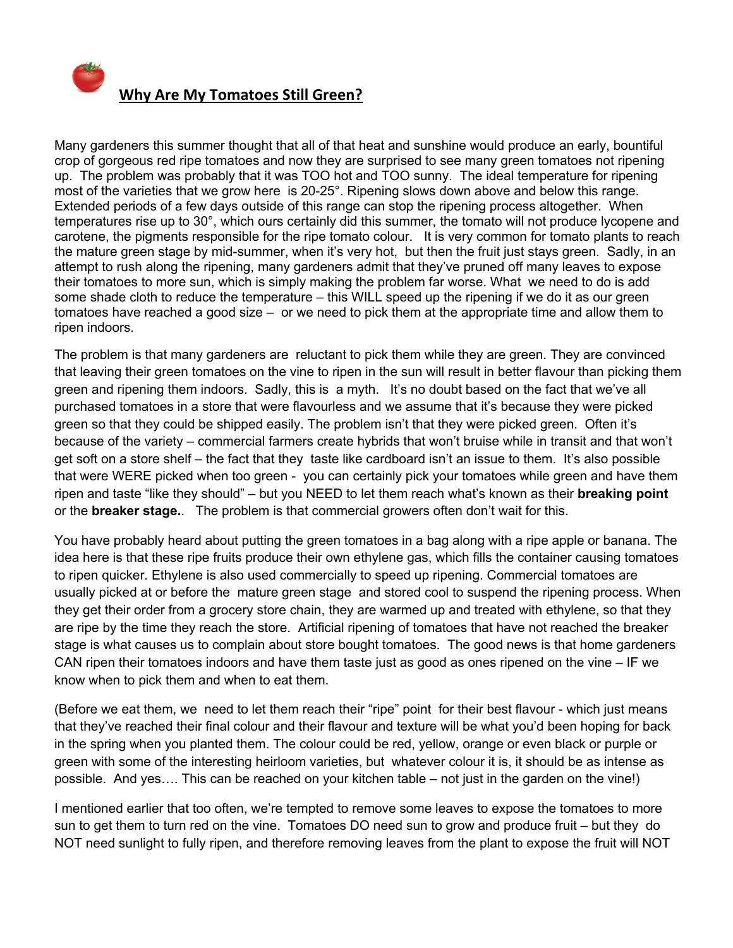

Many gardeners this summer thought that all of that heat and sunshine would produce an early, bountiful crop of gorgeous red ripe tomatoes and now they are surprised to see many green tomatoes not ripening up. The problem was probably that it was TOO hot and TOO sunny. The ideal temperature for ripening most of the varieties that we grow here is 20-25°. Ripening slows down above and below this range. Extended periods of a few days outside of this range can stop the ripening process altogether. When temperatures rise up to 30°, which ours certainly did this summer, the tomato will not produce lycopene and carotene, the pigments responsible for the ripe tomato colour.It is very common for tomato plants to reach the mature green stage by mid-summer, when it's very hot, but then the fruit just stays green. Sadly, in an attempt to rush along the ripening, many gardeners admit that they've pruned off many leaves to expose their tomatoes to more sun, which is simply making the problem far worse. What we need to do is add some shade cloth to reduce the temperature – this WILL speed up the ripening if we do it as our green tomatoes have reached a good size – or we need to pick them at the appropriate time and allow them to ripen indoors.

The problem is that many gardeners are reluctant to pick them while they are green. They are convinced that leaving their green tomatoes on the vine to ripen in the sun will result in better flavour than picking them green and ripening them indoors. Sadly, this is a myth. It's no doubt based on the fact that we've all purchased tomatoes in a store that were flavourless and we assume that it's because they were picked green so that they could be shipped easily. The problem isn't that they were picked green. Often it's because of the variety – commercial farmers create hybrids that won't bruise while in transit and that won't get soft on a store shelf – the fact that they taste like cardboard isn't an issue to them. It's also possible that were WERE picked when too green - you can certainly pick your tomatoes while green and have them ripen and taste "like they should" – but you NEED to let them reach what's known as their **breaking point** or the **breaker stage.**. The problem is that commercial growers often don't wait for this.

You have probably heard about putting the green tomatoes in a bag along with a ripe apple or banana. The idea here is that these ripe fruits produce their own ethylene gas, which fills the container causing tomatoes to ripen quicker. Ethylene is also used commercially to speed up ripening. Commercial tomatoes are usually picked at or before the mature green stage and stored cool to suspend the ripening process. When they get their order from a grocery store chain, they are warmed up and treated with ethylene, so that they are ripe by the time they reach the store. Artificial ripening of tomatoes that have not reached the breaker stage is what causes us to complain about store bought tomatoes. The good news is that home gardeners CAN ripen their tomatoes indoors and have them taste just as good as ones ripened on the vine – IF we know when to pick them and when to eat them.

(Before we eat them, we need to let them reach their "ripe" point for their best flavour - which just means that they've reached their final colour and their flavour and texture will be what you'd been hoping for back in the spring when you planted them. The colour could be red, yellow, orange or even black or purple or green with some of the interesting heirloom varieties, but whatever colour it is, it should be as intense as possible. And yes…. This can be reached on your kitchen table – not just in the garden on the vine!)

I mentioned earlier that too often, we're tempted to remove some leaves to expose the tomatoes to more sun to get them to turn red on the vine. Tomatoes DO need sun to grow and produce fruit – but they do NOT need sunlight to fully ripen, and therefore removing leaves from the plant to expose the fruit will NOT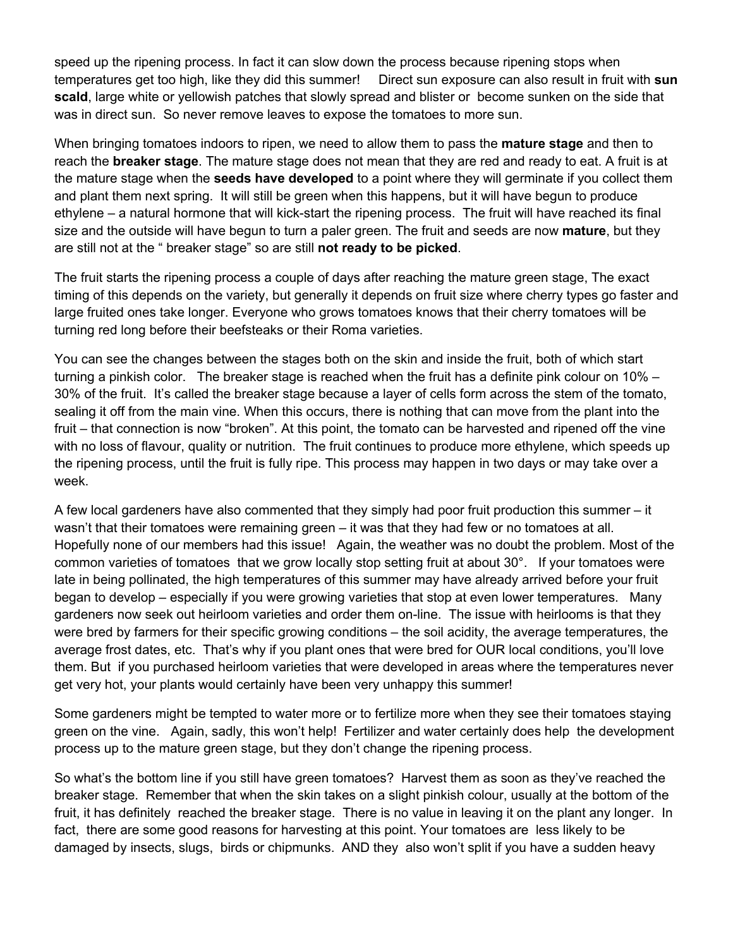speed up the ripening process. In fact it can slow down the process because ripening stops when temperatures get too high, like they did this summer! Direct sun exposure can also result in fruit with **sun scald**, large white or yellowish patches that slowly spread and blister or become sunken on the side that was in direct sun. So never remove leaves to expose the tomatoes to more sun.

When bringing tomatoes indoors to ripen, we need to allow them to pass the **mature stage** and then to reach the **breaker stage**. The mature stage does not mean that they are red and ready to eat. A fruit is at the mature stage when the **seeds have developed** to a point where they will germinate if you collect them and plant them next spring. It will still be green when this happens, but it will have begun to produce ethylene – a natural hormone that will kick-start the ripening process. The fruit will have reached its final size and the outside will have begun to turn a paler green. The fruit and seeds are now **mature**, but they are still not at the " breaker stage" so are still **not ready to be picked**.

The fruit starts the ripening process a couple of days after reaching the mature green stage, The exact timing of this depends on the variety, but generally it depends on fruit size where cherry types go faster and large fruited ones take longer. Everyone who grows tomatoes knows that their cherry tomatoes will be turning red long before their beefsteaks or their Roma varieties.

You can see the changes between the stages both on the skin and inside the fruit, both of which start turning a pinkish color. The breaker stage is reached when the fruit has a definite pink colour on 10% – 30% of the fruit. It's called the breaker stage because a layer of cells form across the stem of the tomato, sealing it off from the main vine. When this occurs, there is nothing that can move from the plant into the fruit – that connection is now "broken". At this point, the tomato can be harvested and ripened off the vine with no loss of flavour, quality or nutrition. The fruit continues to produce more ethylene, which speeds up the ripening process, until the fruit is fully ripe. This process may happen in two days or may take over a week.

A few local gardeners have also commented that they simply had poor fruit production this summer – it wasn't that their tomatoes were remaining green – it was that they had few or no tomatoes at all. Hopefully none of our members had this issue! Again, the weather was no doubt the problem. Most of the common varieties of tomatoes that we grow locally stop setting fruit at about 30°. If your tomatoes were late in being pollinated, the high temperatures of this summer may have already arrived before your fruit began to develop – especially if you were growing varieties that stop at even lower temperatures. Many gardeners now seek out heirloom varieties and order them on-line. The issue with heirlooms is that they were bred by farmers for their specific growing conditions – the soil acidity, the average temperatures, the average frost dates, etc. That's why if you plant ones that were bred for OUR local conditions, you'll love them. But if you purchased heirloom varieties that were developed in areas where the temperatures never get very hot, your plants would certainly have been very unhappy this summer!

Some gardeners might be tempted to water more or to fertilize more when they see their tomatoes staying green on the vine. Again, sadly, this won't help! Fertilizer and water certainly does help the development process up to the mature green stage, but they don't change the ripening process.

So what's the bottom line if you still have green tomatoes? Harvest them as soon as they've reached the breaker stage. Remember that when the skin takes on a slight pinkish colour, usually at the bottom of the fruit, it has definitely reached the breaker stage. There is no value in leaving it on the plant any longer. In fact, there are some good reasons for harvesting at this point. Your tomatoes are less likely to be damaged by insects, slugs, birds or chipmunks. AND they also won't split if you have a sudden heavy